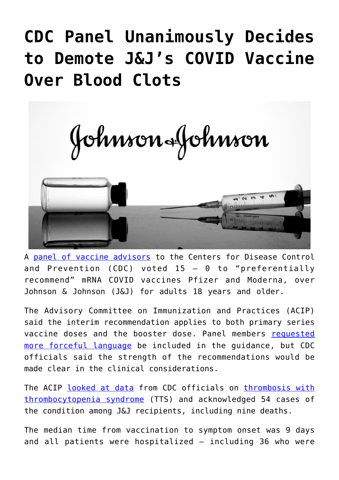## **[CDC Panel Unanimously Decides](https://thevaultproject.org/cdc-panel-unanimously-decides-to-demote-jjs-covid-vaccine-over-blood-clots/) [to Demote J&J's COVID Vaccine](https://thevaultproject.org/cdc-panel-unanimously-decides-to-demote-jjs-covid-vaccine-over-blood-clots/) [Over Blood Clots](https://thevaultproject.org/cdc-panel-unanimously-decides-to-demote-jjs-covid-vaccine-over-blood-clots/)**

Johnson&Johnson



A [panel of vaccine advisors](https://www.cdc.gov/vaccines/acip/meetings/index.html) to the Centers for Disease Control and Prevention (CDC) voted  $15 - 0$  to "preferentially recommend" mRNA COVID vaccines Pfizer and Moderna, over Johnson & Johnson (J&J) for adults 18 years and older.

The Advisory Committee on Immunization and Practices (ACIP) said the interim recommendation applies to both primary series vaccine doses and the booster dose. Panel members [requested](https://www.medpagetoday.com/infectiousdisease/covid19vaccine/96244?xid=NL_breakingnewsalert_2021-12-16&eun=g1346736d0r&utm_source=Sailthru&utm_medium=email&utm_campaign=JJacipAlert_121621&utm_term=NL_Daily_Breaking_News_Active) [more forceful language](https://www.medpagetoday.com/infectiousdisease/covid19vaccine/96244?xid=NL_breakingnewsalert_2021-12-16&eun=g1346736d0r&utm_source=Sailthru&utm_medium=email&utm_campaign=JJacipAlert_121621&utm_term=NL_Daily_Breaking_News_Active) be included in the guidance, but CDC officials said the strength of the recommendations would be made clear in the clinical considerations.

The ACIP [looked at data](https://www.cdc.gov/vaccines/acip/meetings/downloads/slides-2021-12-16/02-COVID-See-508.pdf) from CDC officials on [thrombosis with](https://www.hematology.org/covid-19/vaccine-induced-immune-thrombotic-thrombocytopenia) [thrombocytopenia syndrome](https://www.hematology.org/covid-19/vaccine-induced-immune-thrombotic-thrombocytopenia) (TTS) and acknowledged 54 cases of the condition among J&J recipients, including nine deaths.

The median time from vaccination to symptom onset was 9 days and all patients were hospitalized — including 36 who were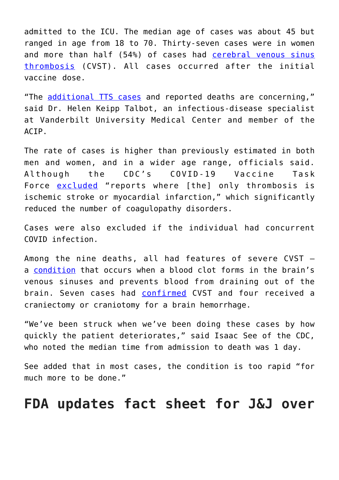admitted to the ICU. The median age of cases was about 45 but ranged in age from 18 to 70. Thirty-seven cases were in women and more than half (54%) of cases had [cerebral venous sinus](https://www.hopkinsmedicine.org/health/conditions-and-diseases/cerebral-venous-sinus-thrombosis#:~:text=Cerebral%20venous%20sinus%20thrombosis%20(CVST)%20occurs%20when%20a%20blood%20clot,brain%20tissues%2C%20forming%20a%20hemorrhage.) [thrombosis](https://www.hopkinsmedicine.org/health/conditions-and-diseases/cerebral-venous-sinus-thrombosis#:~:text=Cerebral%20venous%20sinus%20thrombosis%20(CVST)%20occurs%20when%20a%20blood%20clot,brain%20tissues%2C%20forming%20a%20hemorrhage.) (CVST). All cases occurred after the initial vaccine dose.

"The [additional TTS cases](https://www.wsj.com/articles/cdc-advisers-review-blood-clotting-risk-associated-with-j-js-covid-19-vaccine-11639662363) and reported deaths are concerning," said Dr. Helen Keipp Talbot, an infectious-disease specialist at Vanderbilt University Medical Center and member of the ACIP.

The rate of cases is higher than previously estimated in both men and women, and in a wider age range, officials said. Although the CDC's COVID-19 Vaccine Task Force [excluded](https://www.cdc.gov/vaccines/acip/meetings/downloads/slides-2021-12-16/02-COVID-See-508.pdf) "reports where [the] only thrombosis is ischemic stroke or myocardial infarction," which significantly reduced the number of coagulopathy disorders.

Cases were also excluded if the individual had concurrent COVID infection.

Among the nine deaths, all had features of severe CVST a [condition](https://www.hopkinsmedicine.org/health/conditions-and-diseases/cerebral-venous-sinus-thrombosis#:~:text=Cerebral%20venous%20sinus%20thrombosis%20(CVST)%20occurs%20when%20a%20blood%20clot,brain%20tissues%2C%20forming%20a%20hemorrhage.) that occurs when a blood clot forms in the brain's venous sinuses and prevents blood from draining out of the brain. Seven cases had [confirmed](https://www.medpagetoday.com/infectiousdisease/covid19vaccine/96244?xid=NL_breakingnewsalert_2021-12-16&eun=g1346736d0r&utm_source=Sailthru&utm_medium=email&utm_campaign=JJacipAlert_121621&utm_term=NL_Daily_Breaking_News_Active) CVST and four received a craniectomy or craniotomy for a brain hemorrhage.

"We've been struck when we've been doing these cases by how quickly the patient deteriorates," said Isaac See of the CDC, who noted the median time from admission to death was 1 day.

See added that in most cases, the condition is too rapid "for much more to be done."

## **FDA updates fact sheet for J&J over**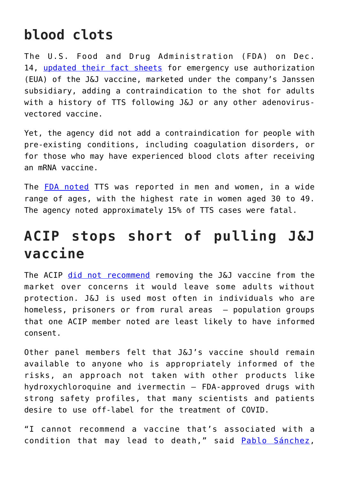## **blood clots**

The U.S. Food and Drug Administration (FDA) on Dec. 14, [updated their fact sheets](https://www.fda.gov/emergency-preparedness-and-response/coronavirus-disease-2019-covid-19/janssen-covid-19-vaccine) for emergency use authorization (EUA) of the J&J vaccine, marketed under the company's Janssen subsidiary, adding a contraindication to the shot for adults with a history of TTS following J&J or any other adenovirusvectored vaccine.

Yet, the agency did not add a contraindication for people with pre-existing conditions, including coagulation disorders, or for those who may have experienced blood clots after receiving an mRNA vaccine.

The [FDA noted](https://www.fda.gov/emergency-preparedness-and-response/coronavirus-disease-2019-covid-19/janssen-covid-19-vaccine) TTS was reported in men and women, in a wide range of ages, with the highest rate in women aged 30 to 49. The agency noted approximately 15% of TTS cases were fatal.

## **ACIP stops short of pulling J&J vaccine**

The ACIP [did not recommend](https://www.cdc.gov/vaccines/acip/meetings/index.html) removing the J&J vaccine from the market over concerns it would leave some adults without protection. J&J is used most often in individuals who are homeless, prisoners or from rural areas — population groups that one ACIP member noted are least likely to have informed consent.

Other panel members felt that J&J's vaccine should remain available to anyone who is appropriately informed of the risks, an approach not taken with other products like hydroxychloroquine and ivermectin — FDA-approved drugs with strong safety profiles, that many scientists and patients desire to use off-label for the treatment of COVID.

"I cannot recommend a vaccine that's associated with a condition that may lead to death," said [Pablo Sánchez,](https://people.ohioinnovationexchange.org/9206-pablo-sanchez)